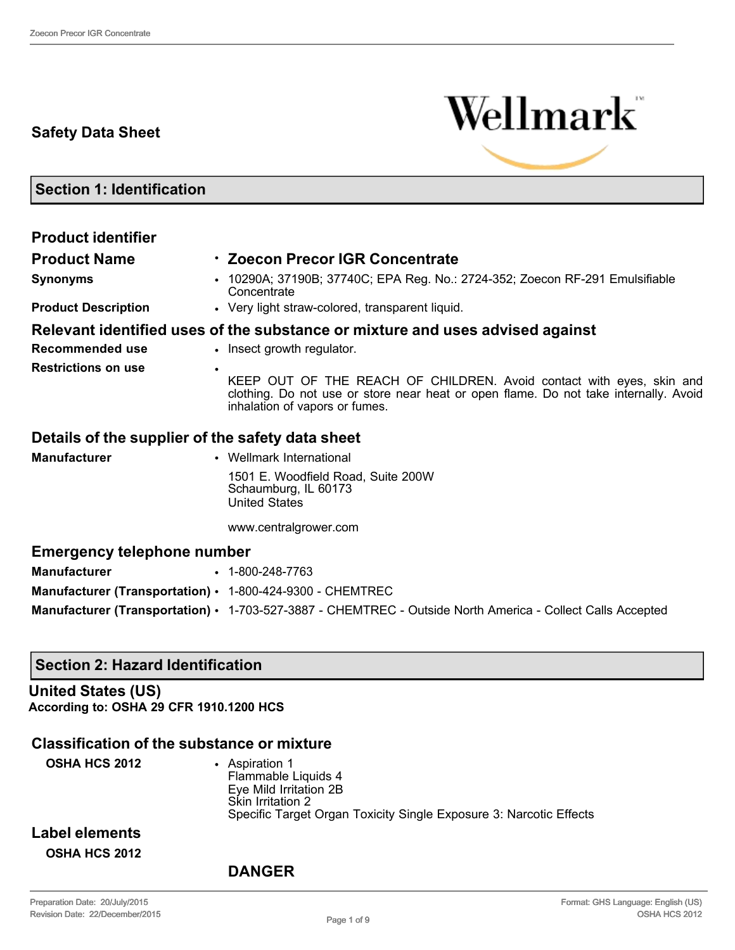# **Safety Data Sheet**



**Section 1: Identification**

| <b>Product identifier</b>                                 |                                                                                                                                                                                                |  |  |
|-----------------------------------------------------------|------------------------------------------------------------------------------------------------------------------------------------------------------------------------------------------------|--|--|
| <b>Product Name</b>                                       | <b>⋅ Zoecon Precor IGR Concentrate</b>                                                                                                                                                         |  |  |
| <b>Synonyms</b>                                           | • 10290A; 37190B; 37740C; EPA Reg. No.: 2724-352; Zoecon RF-291 Emulsifiable<br>Concentrate                                                                                                    |  |  |
| <b>Product Description</b>                                | • Very light straw-colored, transparent liquid.                                                                                                                                                |  |  |
|                                                           | Relevant identified uses of the substance or mixture and uses advised against                                                                                                                  |  |  |
| Recommended use                                           | • Insect growth regulator.                                                                                                                                                                     |  |  |
| <b>Restrictions on use</b><br>$\bullet$                   | KEEP OUT OF THE REACH OF CHILDREN. Avoid contact with eyes, skin and<br>clothing. Do not use or store near heat or open flame. Do not take internally. Avoid<br>inhalation of vapors or fumes. |  |  |
| Details of the supplier of the safety data sheet          |                                                                                                                                                                                                |  |  |
| <b>Manufacturer</b>                                       | • Wellmark International                                                                                                                                                                       |  |  |
|                                                           | 1501 E. Woodfield Road, Suite 200W<br>Schaumburg, IL 60173<br><b>United States</b>                                                                                                             |  |  |
|                                                           | www.centralgrower.com                                                                                                                                                                          |  |  |
| <b>Emergency telephone number</b>                         |                                                                                                                                                                                                |  |  |
| <b>Manufacturer</b>                                       | $\cdot$ 1-800-248-7763                                                                                                                                                                         |  |  |
| Manufacturer (Transportation) · 1-800-424-9300 - CHEMTREC |                                                                                                                                                                                                |  |  |
|                                                           | Manufacturer (Transportation) • 1-703-527-3887 - CHEMTREC - Outside North America - Collect Calls Accepted                                                                                     |  |  |

# **Section 2: Hazard Identification**

**United States (US) According to: OSHA 29 CFR 1910.1200 HCS**

#### **Classification of the substance or mixture**

| <b>OSHA HCS 2012</b>  | Aspiration 1<br>Flammable Liquids 4<br>Eye Mild Irritation 2B                           |
|-----------------------|-----------------------------------------------------------------------------------------|
|                       | Skin Irritation 2<br>Specific Target Organ Toxicity Single Exposure 3: Narcotic Effects |
| <b>Label elements</b> |                                                                                         |

**OSHA HCS 2012**

#### **DANGER**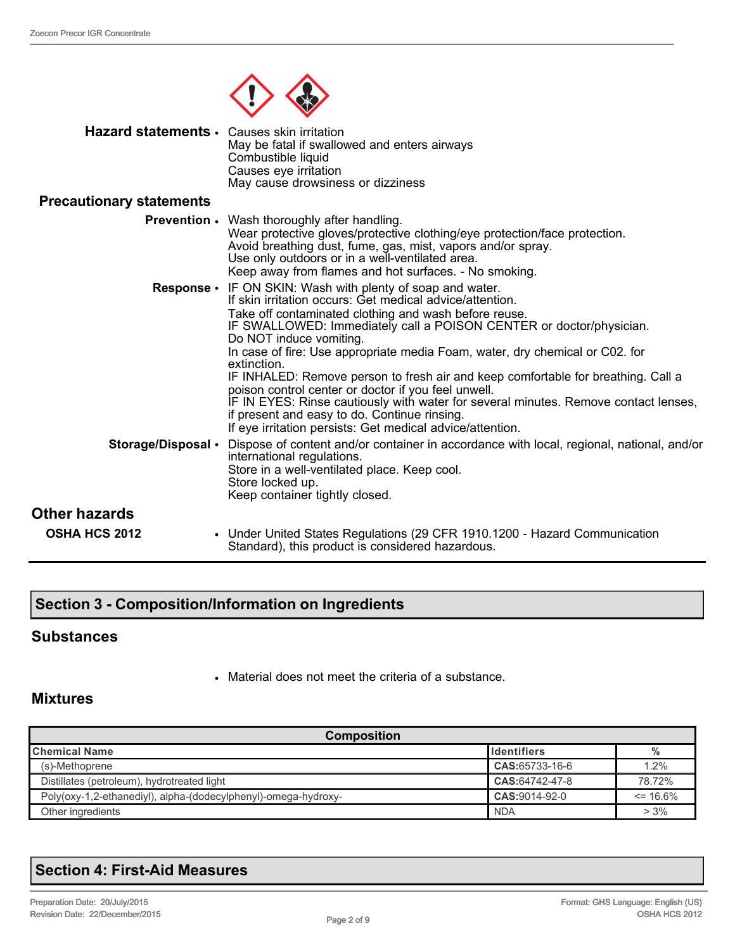

| Hazard statements · Causes skin irritation | May be fatal if swallowed and enters airways<br>Combustible liquid<br>Causes eye irritation<br>May cause drowsiness or dizziness                                                                                                                                                                                                                                                                                                                                                                                                                                                                                                                                                                                                        |
|--------------------------------------------|-----------------------------------------------------------------------------------------------------------------------------------------------------------------------------------------------------------------------------------------------------------------------------------------------------------------------------------------------------------------------------------------------------------------------------------------------------------------------------------------------------------------------------------------------------------------------------------------------------------------------------------------------------------------------------------------------------------------------------------------|
| <b>Precautionary statements</b>            |                                                                                                                                                                                                                                                                                                                                                                                                                                                                                                                                                                                                                                                                                                                                         |
|                                            | <b>Prevention</b> • Wash thoroughly after handling.<br>Wear protective gloves/protective clothing/eye protection/face protection.<br>Avoid breathing dust, fume, gas, mist, vapors and/or spray.<br>Use only outdoors or in a well-ventilated area.<br>Keep away from flames and hot surfaces. - No smoking.                                                                                                                                                                                                                                                                                                                                                                                                                            |
|                                            | <b>Response •</b> IF ON SKIN: Wash with plenty of soap and water.<br>If skin irritation occurs: Get medical advice/attention.<br>Take off contaminated clothing and wash before reuse.<br>IF SWALLOWED: Immediately call a POISON CENTER or doctor/physician.<br>Do NOT induce vomiting.<br>In case of fire: Use appropriate media Foam, water, dry chemical or C02. for<br>extinction.<br>IF INHALED: Remove person to fresh air and keep comfortable for breathing. Call a<br>poison control center or doctor if you feel unwell.<br>IF IN EYES: Rinse cautiously with water for several minutes. Remove contact lenses,<br>if present and easy to do. Continue rinsing.<br>If eye irritation persists: Get medical advice/attention. |
|                                            | Storage/Disposal • Dispose of content and/or container in accordance with local, regional, national, and/or<br>international regulations.<br>Store in a well-ventilated place. Keep cool.<br>Store locked up.<br>Keep container tightly closed.                                                                                                                                                                                                                                                                                                                                                                                                                                                                                         |
| Other hazards                              |                                                                                                                                                                                                                                                                                                                                                                                                                                                                                                                                                                                                                                                                                                                                         |
| <b>OSHA HCS 2012</b>                       | • Under United States Regulations (29 CFR 1910.1200 - Hazard Communication<br>Standard), this product is considered hazardous.                                                                                                                                                                                                                                                                                                                                                                                                                                                                                                                                                                                                          |

# **Section 3 - Composition/Information on Ingredients**

#### **Substances**

• Material does not meet the criteria of a substance.

#### **Mixtures**

| <b>Composition</b>                                             |                      |              |  |
|----------------------------------------------------------------|----------------------|--------------|--|
| <b>I</b> Chemical Name                                         | <b>I</b> Identifiers | %            |  |
| (s)-Methoprene                                                 | CAS:65733-16-6       | 1.2%         |  |
| Distillates (petroleum), hydrotreated light                    | CAS:64742-47-8       | 78.72%       |  |
| Poly(oxy-1,2-ethanediyl), alpha-(dodecylphenyl)-omega-hydroxy- | CAS: 9014-92-0       | $\leq$ 16.6% |  |
| Other ingredients                                              | <b>NDA</b>           | $> 3\%$      |  |

# **Section 4: First-Aid Measures**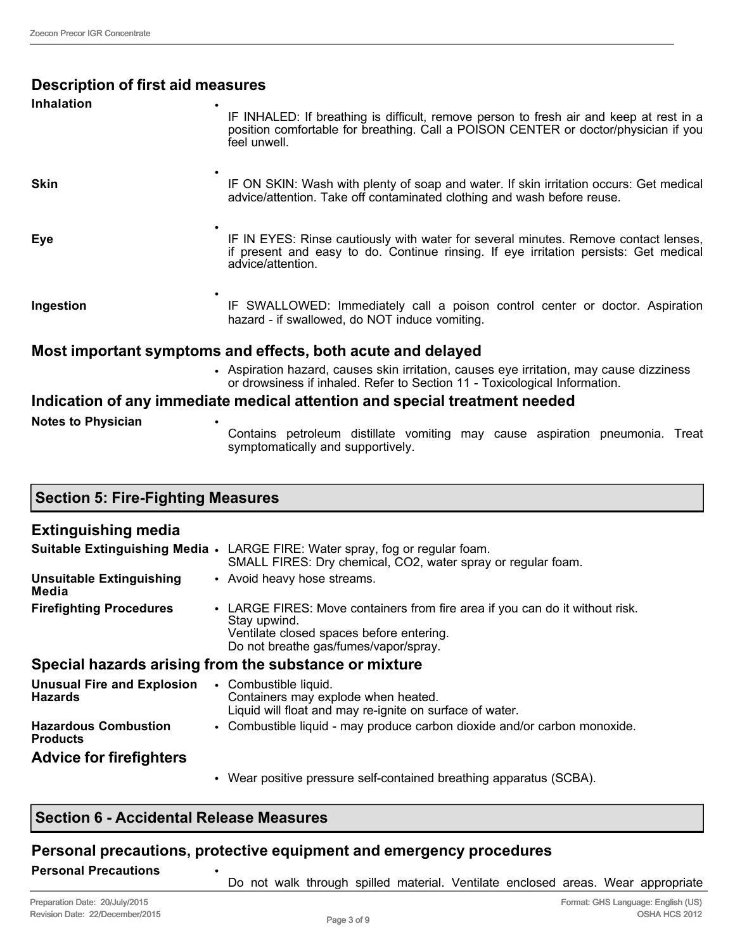| <b>Description of first aid measures</b> |                                                                                                                                                                                                  |
|------------------------------------------|--------------------------------------------------------------------------------------------------------------------------------------------------------------------------------------------------|
| <b>Inhalation</b>                        | IF INHALED: If breathing is difficult, remove person to fresh air and keep at rest in a<br>position comfortable for breathing. Call a POISON CENTER or doctor/physician if you<br>feel unwell.   |
| <b>Skin</b>                              | IF ON SKIN: Wash with plenty of soap and water. If skin irritation occurs: Get medical<br>advice/attention. Take off contaminated clothing and wash before reuse.                                |
| Eye                                      | IF IN EYES: Rinse cautiously with water for several minutes. Remove contact lenses,<br>if present and easy to do. Continue rinsing. If eye irritation persists: Get medical<br>advice/attention. |
| Ingestion                                | IF SWALLOWED: Immediately call a poison control center or doctor. Aspiration<br>hazard - if swallowed, do NOT induce vomiting.                                                                   |
|                                          | Most important symptoms and effects, both acute and delayed                                                                                                                                      |
|                                          | • Aspiration hazard, causes skin irritation, causes eye irritation, may cause dizziness<br>or drowsiness if inhaled. Refer to Section 11 - Toxicological Information.                            |
|                                          | Indication of any immediate medical attention and special treatment needed                                                                                                                       |
| <b>Notes to Physician</b>                | Contains petroleum distillate vomiting may cause aspiration pneumonia. Treat<br>symptomatically and supportively.                                                                                |

| <b>Section 5: Fire-Fighting Measures</b>            |                                                                                                                                                                                   |  |
|-----------------------------------------------------|-----------------------------------------------------------------------------------------------------------------------------------------------------------------------------------|--|
| <b>Extinguishing media</b>                          |                                                                                                                                                                                   |  |
|                                                     | <b>Suitable Extinguishing Media .</b> LARGE FIRE: Water spray, fog or regular foam.<br>SMALL FIRES: Dry chemical, CO2, water spray or regular foam.                               |  |
| <b>Unsuitable Extinguishing</b><br>Media            | • Avoid heavy hose streams.                                                                                                                                                       |  |
| <b>Firefighting Procedures</b>                      | • LARGE FIRES: Move containers from fire area if you can do it without risk.<br>Stay upwind.<br>Ventilate closed spaces before entering.<br>Do not breathe gas/fumes/vapor/spray. |  |
|                                                     | Special hazards arising from the substance or mixture                                                                                                                             |  |
| <b>Unusual Fire and Explosion</b><br><b>Hazards</b> | • Combustible liquid.<br>Containers may explode when heated.<br>Liquid will float and may re-ignite on surface of water.                                                          |  |
| <b>Hazardous Combustion</b><br><b>Products</b>      | • Combustible liquid - may produce carbon dioxide and/or carbon monoxide.                                                                                                         |  |
| <b>Advice for firefighters</b>                      |                                                                                                                                                                                   |  |
|                                                     | Wear positive pressure self-contained breathing apparatus (SCBA).                                                                                                                 |  |

# **Section 6 - Accidental Release Measures**

# **Personal precautions, protective equipment and emergency procedures**

Do not walk through spilled material. Ventilate enclosed areas. Wear appropriate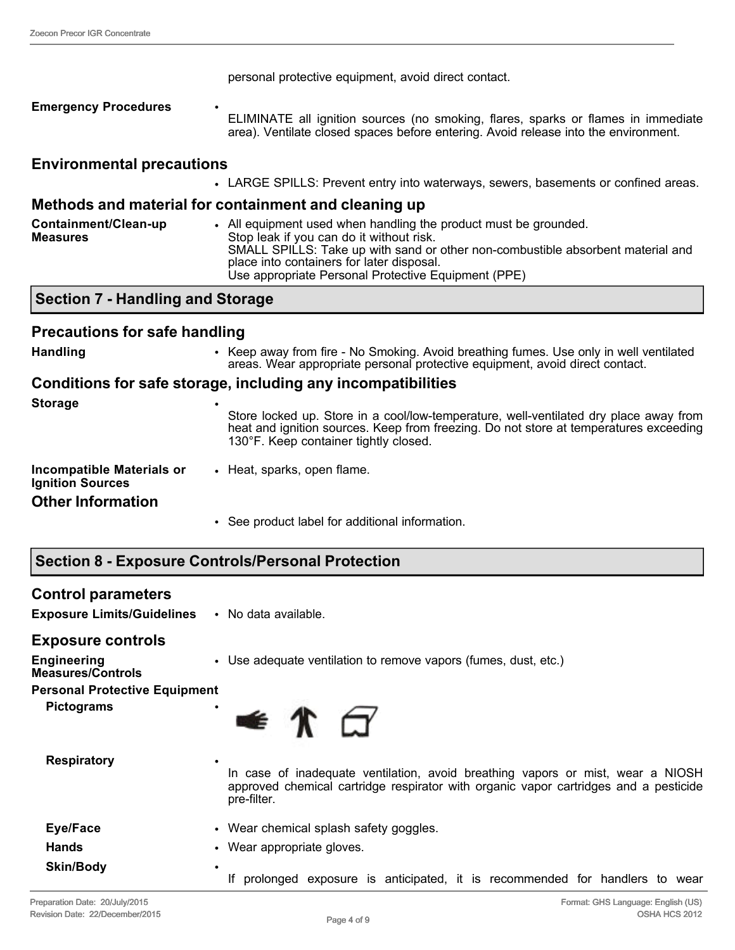|                                                      | personal protective equipment, avoid direct contact.                                                                                                                                                                                                                                                |
|------------------------------------------------------|-----------------------------------------------------------------------------------------------------------------------------------------------------------------------------------------------------------------------------------------------------------------------------------------------------|
| <b>Emergency Procedures</b>                          | ELIMINATE all ignition sources (no smoking, flares, sparks or flames in immediate<br>area). Ventilate closed spaces before entering. Avoid release into the environment.                                                                                                                            |
| <b>Environmental precautions</b>                     |                                                                                                                                                                                                                                                                                                     |
|                                                      | • LARGE SPILLS: Prevent entry into waterways, sewers, basements or confined areas.                                                                                                                                                                                                                  |
|                                                      | Methods and material for containment and cleaning up                                                                                                                                                                                                                                                |
| Containment/Clean-up<br><b>Measures</b>              | • All equipment used when handling the product must be grounded.<br>Stop leak if you can do it without risk.<br>SMALL SPILLS: Take up with sand or other non-combustible absorbent material and<br>place into containers for later disposal.<br>Use appropriate Personal Protective Equipment (PPE) |
| <b>Section 7 - Handling and Storage</b>              |                                                                                                                                                                                                                                                                                                     |
| <b>Precautions for safe handling</b>                 |                                                                                                                                                                                                                                                                                                     |
| <b>Handling</b>                                      | • Keep away from fire - No Smoking. Avoid breathing fumes. Use only in well ventilated<br>areas. Wear appropriate personal protective equipment, avoid direct contact.                                                                                                                              |
|                                                      | Conditions for safe storage, including any incompatibilities                                                                                                                                                                                                                                        |
| <b>Storage</b>                                       | Store locked up. Store in a cool/low-temperature, well-ventilated dry place away from<br>heat and ignition sources. Keep from freezing. Do not store at temperatures exceeding<br>130°F. Keep container tightly closed.                                                                             |
| Incompatible Materials or<br><b>Ignition Sources</b> | • Heat, sparks, open flame.                                                                                                                                                                                                                                                                         |

#### **Other Information**

• See product label for additional information.

**Exposure Limits/Guidelines** • No data available.

#### **Exposure controls**

| <b>Engineering</b><br><b>Measures/Controls</b> | • Use adequate ventilation to remove vapors (fumes, dust, etc.)                                                                                                         |  |  |
|------------------------------------------------|-------------------------------------------------------------------------------------------------------------------------------------------------------------------------|--|--|
| <b>Personal Protective Equipment</b>           |                                                                                                                                                                         |  |  |
| <b>Pictograms</b>                              | $\bullet$ $\uparrow$ $\uparrow$                                                                                                                                         |  |  |
| <b>Respiratory</b>                             | In case of inadequate ventilation, avoid breathing vapors or mist, wear a NIOSH<br>approved chemical cartridge respirator with organic vapor cartridges and a pesticide |  |  |
|                                                | pre-filter.                                                                                                                                                             |  |  |
| Eye/Face                                       | • Wear chemical splash safety goggles.                                                                                                                                  |  |  |
| <b>Hands</b>                                   | • Wear appropriate gloves.                                                                                                                                              |  |  |
| <b>Skin/Body</b>                               | $\bullet$<br>prolonged exposure is anticipated, it is recommended for handlers to<br>wear                                                                               |  |  |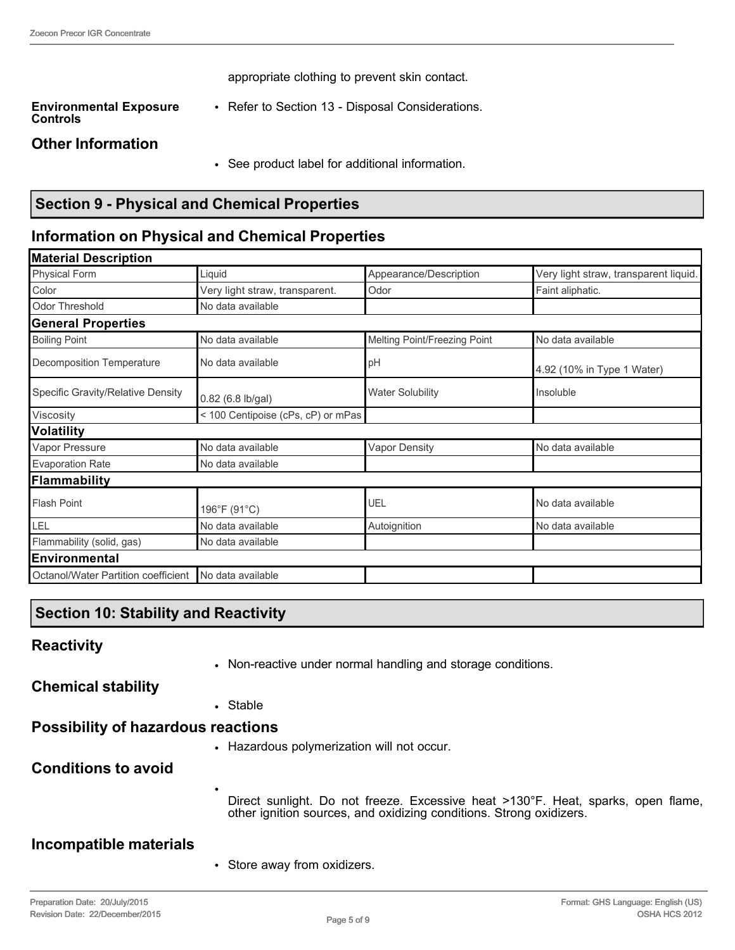appropriate clothing to prevent skin contact.

**Environmental Exposure Controls** • Refer to Section 13 - Disposal Considerations.

#### **Other Information**

• See product label for additional information.

# **Section 9 - Physical and Chemical Properties**

# **Information on Physical and Chemical Properties**

| Liquid                         | Appearance/Description              | Very light straw, transparent liquid. |
|--------------------------------|-------------------------------------|---------------------------------------|
| Very light straw, transparent. | Odor                                | Faint aliphatic.                      |
| No data available              |                                     |                                       |
|                                |                                     |                                       |
| No data available              | Melting Point/Freezing Point        | No data available                     |
| No data available              | pH                                  | 4.92 (10% in Type 1 Water)            |
| 0.82 (6.8 lb/gal)              | <b>Water Solubility</b>             | Insoluble                             |
|                                |                                     |                                       |
|                                |                                     |                                       |
| No data available              | <b>Vapor Density</b>                | No data available                     |
| No data available              |                                     |                                       |
|                                |                                     |                                       |
| 196°F (91°C)                   | UEL                                 | No data available                     |
| No data available              | Autoignition                        | No data available                     |
| No data available              |                                     |                                       |
|                                |                                     |                                       |
| No data available              |                                     |                                       |
|                                | Octanol/Water Partition coefficient | < 100 Centipoise (cPs, cP) or mPas    |

# **Section 10: Stability and Reactivity**

| <b>Reactivity</b> |  |
|-------------------|--|
|                   |  |

• Non-reactive under normal handling and storage conditions.

**Chemical stability**

• Stable

•

# **Possibility of hazardous reactions**

• Hazardous polymerization will not occur.

# **Conditions to avoid**

Direct sunlight. Do not freeze. Excessive heat >130°F. Heat, sparks, open flame, other ignition sources, and oxidizing conditions. Strong oxidizers.

#### **Incompatible materials**

• Store away from oxidizers.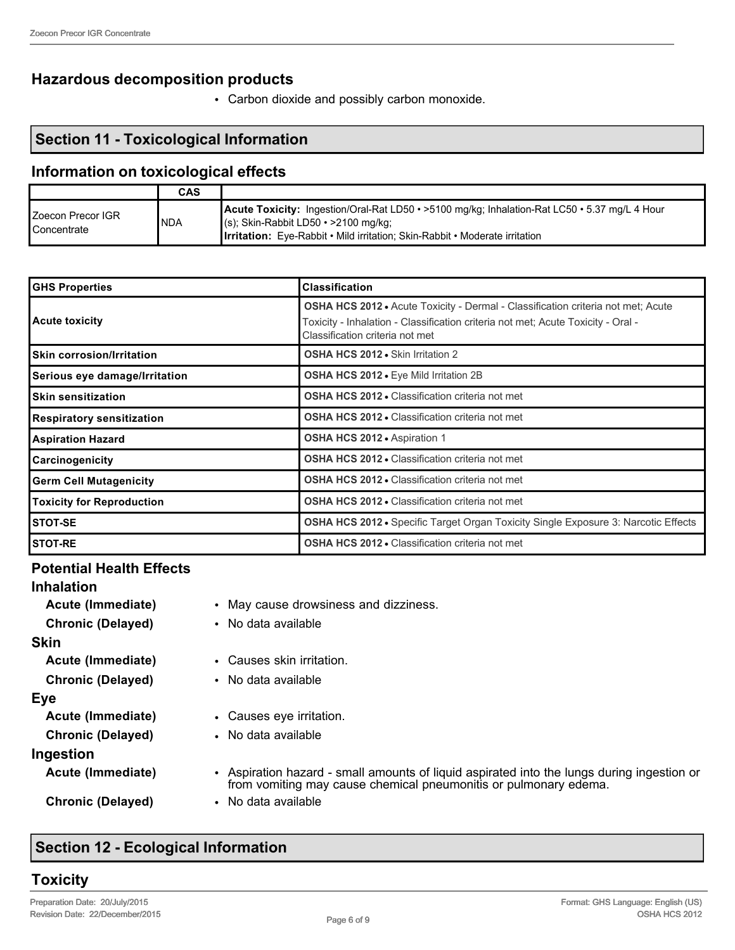#### **Hazardous decomposition products**

• Carbon dioxide and possibly carbon monoxide.

#### **Section 11 - Toxicological Information**

#### **Information on toxicological effects**

|                                     | CAS        |                                                                                                                                                                                                                                       |
|-------------------------------------|------------|---------------------------------------------------------------------------------------------------------------------------------------------------------------------------------------------------------------------------------------|
| IZoecon Precor IGR<br>l Concentrate | <b>NDA</b> | <b>Acute Toxicity:</b> Ingestion/Oral-Rat LD50 • >5100 mg/kg; Inhalation-Rat LC50 • 5.37 mg/L 4 Hour<br>$(s)$ ; Skin-Rabbit LD50 • >2100 mg/kg;<br><b>Irritation:</b> Eye-Rabbit • Mild irritation; Skin-Rabbit • Moderate irritation |

| <b>GHS Properties</b>                                                                      | <b>Classification</b>                                                                                                                                                                                          |
|--------------------------------------------------------------------------------------------|----------------------------------------------------------------------------------------------------------------------------------------------------------------------------------------------------------------|
| <b>Acute toxicity</b>                                                                      | <b>OSHA HCS 2012 •</b> Acute Toxicity - Dermal - Classification criteria not met; Acute<br>Foxicity - Inhalation - Classification criteria not met; Acute Toxicity - Oral -<br>Classification criteria not met |
| <b>Skin corrosion/Irritation</b>                                                           | <b>OSHA HCS 2012 • Skin Irritation 2</b>                                                                                                                                                                       |
| Serious eye damage/Irritation                                                              | OSHA HCS 2012 . Eye Mild Irritation 2B                                                                                                                                                                         |
| <b>Skin sensitization</b>                                                                  | OSHA HCS 2012 . Classification criteria not met                                                                                                                                                                |
| <b>Respiratory sensitization</b>                                                           | <b>OSHA HCS 2012 • Classification criteria not met</b>                                                                                                                                                         |
| <b>Aspiration Hazard</b>                                                                   | <b>OSHA HCS 2012 • Aspiration 1</b>                                                                                                                                                                            |
| <b>Carcinogenicity</b>                                                                     | <b>OSHA HCS 2012 • Classification criteria not met</b>                                                                                                                                                         |
| <b>Germ Cell Mutagenicity</b>                                                              | <b>OSHA HCS 2012 • Classification criteria not met</b>                                                                                                                                                         |
| <b>OSHA HCS 2012 • Classification criteria not met</b><br><b>Toxicity for Reproduction</b> |                                                                                                                                                                                                                |
| <b>STOT-SE</b>                                                                             | <b>OSHA HCS 2012 •</b> Specific Target Organ Toxicity Single Exposure 3: Narcotic Effects                                                                                                                      |
| <b>STOT-RE</b>                                                                             | <b>OSHA HCS 2012 • Classification criteria not met</b>                                                                                                                                                         |

#### **Potential Health Effects**

| <b>Inhalation</b>        |                                                                                                                                                                |
|--------------------------|----------------------------------------------------------------------------------------------------------------------------------------------------------------|
| Acute (Immediate)        | • May cause drowsiness and dizziness.                                                                                                                          |
| <b>Chronic (Delayed)</b> | • No data available                                                                                                                                            |
| Skin                     |                                                                                                                                                                |
| Acute (Immediate)        | • Causes skin irritation.                                                                                                                                      |
| <b>Chronic (Delayed)</b> | • No data available                                                                                                                                            |
| Eye                      |                                                                                                                                                                |
| Acute (Immediate)        | • Causes eye irritation.                                                                                                                                       |
| <b>Chronic (Delayed)</b> | • No data available                                                                                                                                            |
| Ingestion                |                                                                                                                                                                |
| Acute (Immediate)        | • Aspiration hazard - small amounts of liquid aspirated into the lungs during ingestion or<br>from vomiting may cause chemical pneumonitis or pulmonary edema. |
| <b>Chronic (Delayed)</b> | • No data available                                                                                                                                            |
|                          |                                                                                                                                                                |

# **Section 12 - Ecological Information**

# **Toxicity**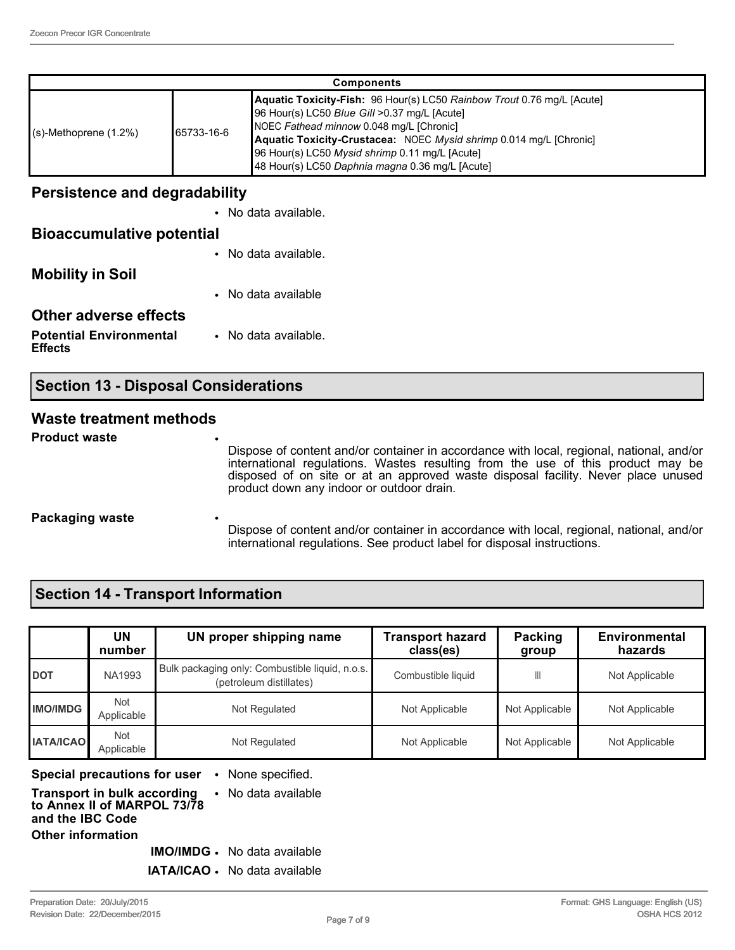| <b>Components</b>        |             |                                                                                                                                                                                                                                                                                                                                               |  |  |
|--------------------------|-------------|-----------------------------------------------------------------------------------------------------------------------------------------------------------------------------------------------------------------------------------------------------------------------------------------------------------------------------------------------|--|--|
| $(s)$ -Methoprene (1.2%) | 165733-16-6 | Aquatic Toxicity-Fish: 96 Hour(s) LC50 Rainbow Trout 0.76 mg/L [Acute]<br>96 Hour(s) LC50 Blue Gill >0.37 mg/L [Acute]<br>NOEC Fathead minnow 0.048 mg/L [Chronic]<br>Aquatic Toxicity-Crustacea: NOEC Mysid shrimp 0.014 mg/L [Chronic]<br>96 Hour(s) LC50 Mysid shrimp 0.11 mg/L [Acute]<br>48 Hour(s) LC50 Daphnia magna 0.36 mg/L [Acute] |  |  |

#### **Persistence and degradability**

|                                                  | • No data available. |
|--------------------------------------------------|----------------------|
| <b>Bioaccumulative potential</b>                 |                      |
|                                                  | • No data available. |
| <b>Mobility in Soil</b>                          |                      |
|                                                  | • No data available  |
| Other adverse effects                            |                      |
| <b>Potential Environmental</b><br><b>Effects</b> | • No data available. |

# **Section 13 - Disposal Considerations**

#### **Waste treatment methods**

**Product waste** 

Dispose of content and/or container in accordance with local, regional, national, and/or international regulations. Wastes resulting from the use of this product may be disposed of on site or at an approved waste disposal facility. Never place unused product down any indoor or outdoor drain.

#### **Packaging waste**

Dispose of content and/or container in accordance with local, regional, national, and/or international regulations. See product label for disposal instructions.

# **Section 14 - Transport Information**

|                  | UN<br>number      | UN proper shipping name                                                    | <b>Transport hazard</b><br>class(es) | Packing<br>group | <b>Environmental</b><br>hazards |
|------------------|-------------------|----------------------------------------------------------------------------|--------------------------------------|------------------|---------------------------------|
| <b>DOT</b>       | <b>NA1993</b>     | Bulk packaging only: Combustible liquid, n.o.s.<br>(petroleum distillates) | Combustible liquid                   | Ш                | Not Applicable                  |
| <b>IMO/IMDG</b>  | Not<br>Applicable | Not Regulated                                                              | Not Applicable                       | Not Applicable   | Not Applicable                  |
| <b>IATA/ICAO</b> | Not<br>Applicable | Not Regulated                                                              | Not Applicable                       | Not Applicable   | Not Applicable                  |

**Special precautions for user** • None specified.

#### **Transport in bulk according to Annex II of MARPOL 73/78 and the IBC Code** • No data available **Other information**

**IMO/IMDG** • No data available

**IATA/ICAO** • No data available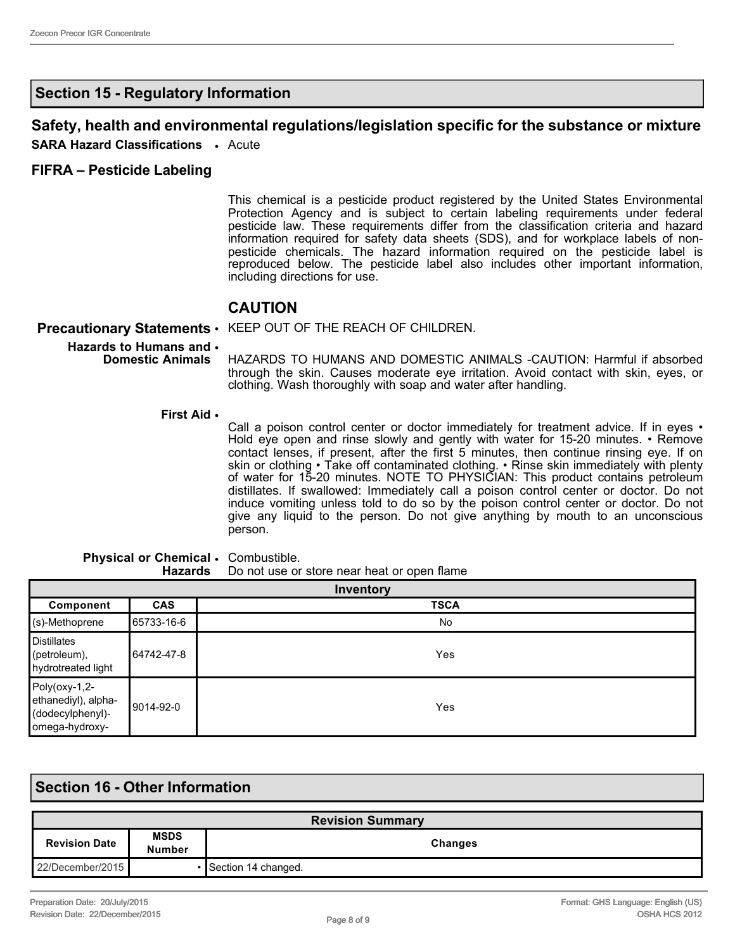#### **Section 15 - Regulatory Information**

# **Safety, health and environmental regulations/legislation specific for the substance or mixture**

**SARA Hazard Classifications** • Acute

#### **FIFRA – Pesticide Labeling**

This chemical is a pesticide product registered by the United States Environmental Protection Agency and is subject to certain labeling requirements under federal pesticide law. These requirements differ from the classification criteria and hazard information required for safety data sheets (SDS), and for workplace labels of nonpesticide chemicals. The hazard information required on the pesticide label is reproduced below. The pesticide label also includes other important information, including directions for use.

#### **CAUTION**

#### **Precautionary Statements** • KEEP OUT OF THE REACH OF CHILDREN.

**Hazards to Humans and**  • **Domestic Animals** HAZARDS TO HUMANS AND DOMESTIC ANIMALS -CAUTION: Harmful if absorbed through the skin. Causes moderate eye irritation. Avoid contact with skin, eyes, or clothing. Wash thoroughly with soap and water after handling.

**First Aid** •

Call a poison control center or doctor immediately for treatment advice. If in eyes • Hold eye open and rinse slowly and gently with water for 15-20 minutes. • Remove contact lenses, if present, after the first 5 minutes, then continue rinsing eye. If on skin or clothing • Take off contaminated clothing. • Rinse skin immediately with plenty of water for 15-20 minutes. NOTE TO PHYSICIAN: This product contains petroleum distillates. If swallowed: Immediately call a poison control center or doctor. Do not induce vomiting unless told to do so by the poison control center or doctor. Do not give any liquid to the person. Do not give anything by mouth to an unconscious person.

#### **Physical or Chemical**  • Combustible. **Hazards** Do not use or store near heat or open flame

| Inventory                                                                     |            |             |
|-------------------------------------------------------------------------------|------------|-------------|
| Component                                                                     | <b>CAS</b> | <b>TSCA</b> |
| $\mid$ (s)-Methoprene                                                         | 65733-16-6 | No          |
| Distillates<br>$[$ (petroleum),<br>hydrotreated light                         | 64742-47-8 | Yes         |
| $Poly(oxy-1,2-$<br>ethanediyl), alpha-<br>(dodecylphenyl)-<br>lomega-hydroxy- | 9014-92-0  | Yes         |

#### **Section 16 - Other Information**

| <b>Revision Summary</b> |                       |                     |  |
|-------------------------|-----------------------|---------------------|--|
| <b>Revision Date</b>    | <b>MSDS</b><br>Number | Changes             |  |
| 22/December/2015        |                       | Section 14 changed. |  |